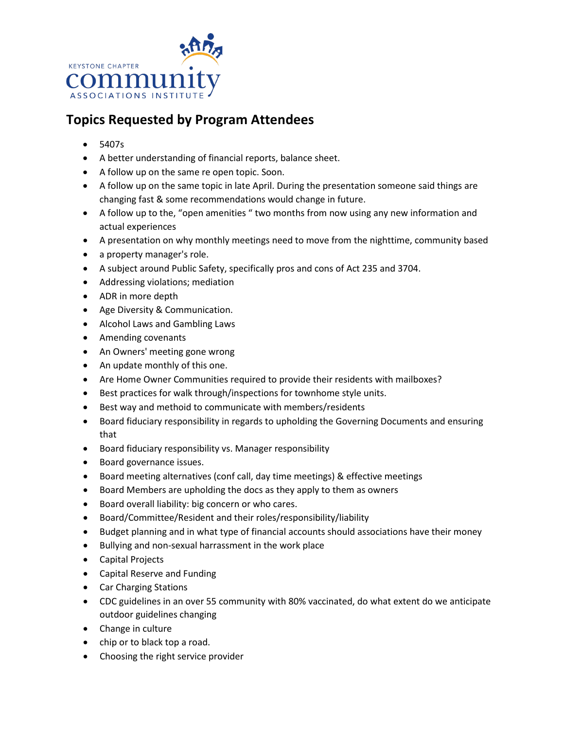

## **Topics Requested by Program Attendees**

- 5407s
- A better understanding of financial reports, balance sheet.
- A follow up on the same re open topic. Soon.
- A follow up on the same topic in late April. During the presentation someone said things are changing fast & some recommendations would change in future.
- A follow up to the, "open amenities " two months from now using any new information and actual experiences
- A presentation on why monthly meetings need to move from the nighttime, community based
- a property manager's role.
- A subject around Public Safety, specifically pros and cons of Act 235 and 3704.
- Addressing violations; mediation
- ADR in more depth
- Age Diversity & Communication.
- Alcohol Laws and Gambling Laws
- Amending covenants
- An Owners' meeting gone wrong
- An update monthly of this one.
- Are Home Owner Communities required to provide their residents with mailboxes?
- Best practices for walk through/inspections for townhome style units.
- Best way and methoid to communicate with members/residents
- Board fiduciary responsibility in regards to upholding the Governing Documents and ensuring that
- Board fiduciary responsibility vs. Manager responsibility
- Board governance issues.
- Board meeting alternatives (conf call, day time meetings) & effective meetings
- Board Members are upholding the docs as they apply to them as owners
- Board overall liability: big concern or who cares.
- Board/Committee/Resident and their roles/responsibility/liability
- Budget planning and in what type of financial accounts should associations have their money
- Bullying and non‐sexual harrassment in the work place
- Capital Projects
- Capital Reserve and Funding
- Car Charging Stations
- CDC guidelines in an over 55 community with 80% vaccinated, do what extent do we anticipate outdoor guidelines changing
- Change in culture
- chip or to black top a road.
- Choosing the right service provider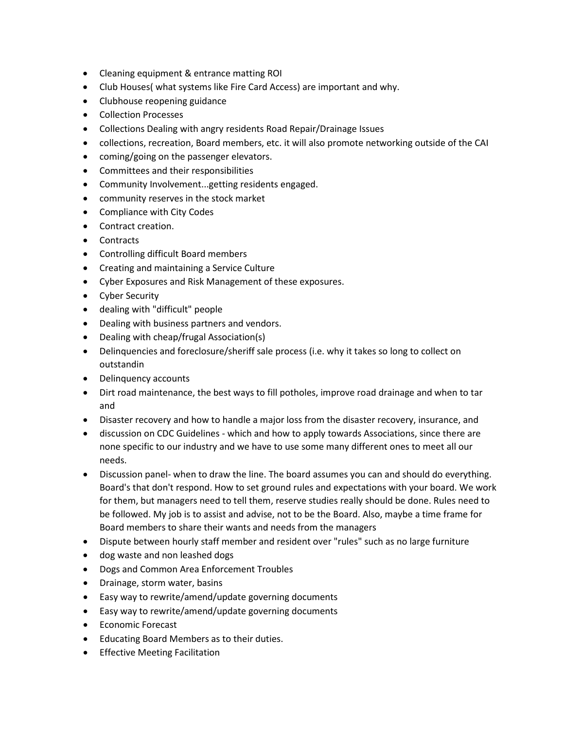- Cleaning equipment & entrance matting ROI
- Club Houses( what systems like Fire Card Access) are important and why.
- Clubhouse reopening guidance
- Collection Processes
- Collections Dealing with angry residents Road Repair/Drainage Issues
- collections, recreation, Board members, etc. it will also promote networking outside of the CAI
- coming/going on the passenger elevators.
- Committees and their responsibilities
- Community Involvement...getting residents engaged.
- community reserves in the stock market
- Compliance with City Codes
- Contract creation.
- Contracts
- Controlling difficult Board members
- Creating and maintaining a Service Culture
- Cyber Exposures and Risk Management of these exposures.
- Cyber Security
- dealing with "difficult" people
- Dealing with business partners and vendors.
- Dealing with cheap/frugal Association(s)
- Delinquencies and foreclosure/sheriff sale process (i.e. why it takes so long to collect on outstandin
- Delinquency accounts
- Dirt road maintenance, the best ways to fill potholes, improve road drainage and when to tar and
- Disaster recovery and how to handle a major loss from the disaster recovery, insurance, and
- discussion on CDC Guidelines which and how to apply towards Associations, since there are none specific to our industry and we have to use some many different ones to meet all our needs.
- Discussion panel- when to draw the line. The board assumes you can and should do everything. Board's that don't respond. How to set ground rules and expectations with your board. We work for them, but managers need to tell them, reserve studies really should be done. Rules need to be followed. My job is to assist and advise, not to be the Board. Also, maybe a time frame for Board members to share their wants and needs from the managers
- Dispute between hourly staff member and resident over "rules" such as no large furniture
- dog waste and non leashed dogs
- Dogs and Common Area Enforcement Troubles
- Drainage, storm water, basins
- Easy way to rewrite/amend/update governing documents
- Easy way to rewrite/amend/update governing documents
- Economic Forecast
- Educating Board Members as to their duties.
- Effective Meeting Facilitation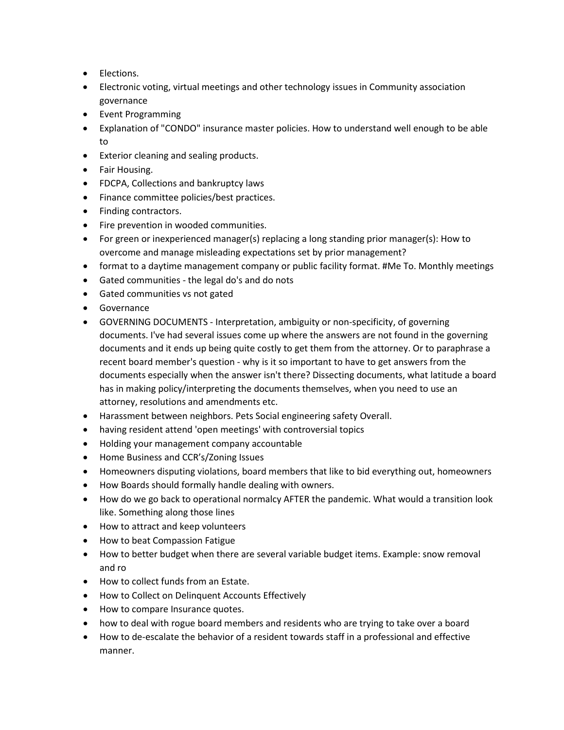- Elections.
- Electronic voting, virtual meetings and other technology issues in Community association governance
- Event Programming
- Explanation of "CONDO" insurance master policies. How to understand well enough to be able to
- Exterior cleaning and sealing products.
- Fair Housing.
- FDCPA, Collections and bankruptcy laws
- Finance committee policies/best practices.
- Finding contractors.
- Fire prevention in wooded communities.
- For green or inexperienced manager(s) replacing a long standing prior manager(s): How to overcome and manage misleading expectations set by prior management?
- format to a daytime management company or public facility format. #Me To. Monthly meetings
- Gated communities the legal do's and do nots
- Gated communities vs not gated
- Governance
- GOVERNING DOCUMENTS Interpretation, ambiguity or non-specificity, of governing documents. I've had several issues come up where the answers are not found in the governing documents and it ends up being quite costly to get them from the attorney. Or to paraphrase a recent board member's question - why is it so important to have to get answers from the documents especially when the answer isn't there? Dissecting documents, what latitude a board has in making policy/interpreting the documents themselves, when you need to use an attorney, resolutions and amendments etc.
- Harassment between neighbors. Pets Social engineering safety Overall.
- having resident attend 'open meetings' with controversial topics
- Holding your management company accountable
- Home Business and CCR's/Zoning Issues
- Homeowners disputing violations, board members that like to bid everything out, homeowners
- How Boards should formally handle dealing with owners.
- How do we go back to operational normalcy AFTER the pandemic. What would a transition look like. Something along those lines
- How to attract and keep volunteers
- How to beat Compassion Fatigue
- How to better budget when there are several variable budget items. Example: snow removal and ro
- How to collect funds from an Estate.
- How to Collect on Delinquent Accounts Effectively
- How to compare Insurance quotes.
- how to deal with rogue board members and residents who are trying to take over a board
- How to de-escalate the behavior of a resident towards staff in a professional and effective manner.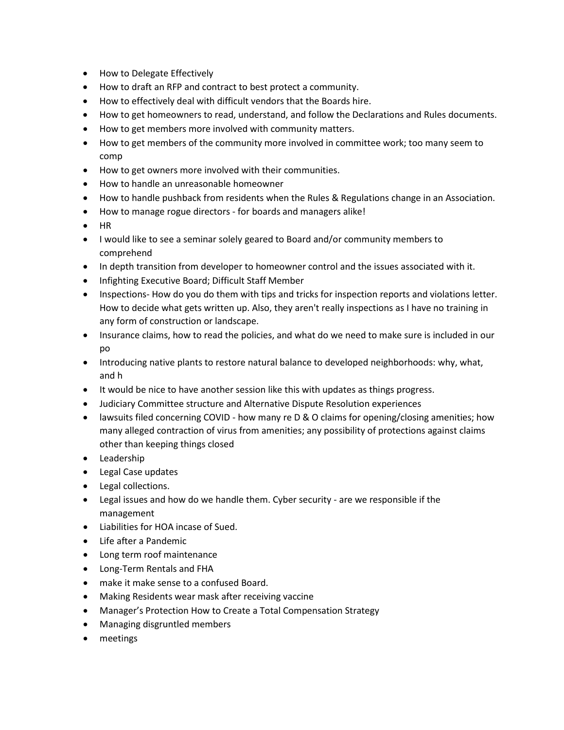- How to Delegate Effectively
- How to draft an RFP and contract to best protect a community.
- How to effectively deal with difficult vendors that the Boards hire.
- How to get homeowners to read, understand, and follow the Declarations and Rules documents.
- How to get members more involved with community matters.
- How to get members of the community more involved in committee work; too many seem to comp
- How to get owners more involved with their communities.
- How to handle an unreasonable homeowner
- How to handle pushback from residents when the Rules & Regulations change in an Association.
- How to manage rogue directors ‐ for boards and managers alike!
- HR
- I would like to see a seminar solely geared to Board and/or community members to comprehend
- In depth transition from developer to homeowner control and the issues associated with it.
- Infighting Executive Board; Difficult Staff Member
- Inspections- How do you do them with tips and tricks for inspection reports and violations letter. How to decide what gets written up. Also, they aren't really inspections as I have no training in any form of construction or landscape.
- Insurance claims, how to read the policies, and what do we need to make sure is included in our po
- Introducing native plants to restore natural balance to developed neighborhoods: why, what, and h
- It would be nice to have another session like this with updates as things progress.
- Judiciary Committee structure and Alternative Dispute Resolution experiences
- lawsuits filed concerning COVID how many re D & O claims for opening/closing amenities; how many alleged contraction of virus from amenities; any possibility of protections against claims other than keeping things closed
- Leadership
- Legal Case updates
- Legal collections.
- Legal issues and how do we handle them. Cyber security are we responsible if the management
- Liabilities for HOA incase of Sued.
- Life after a Pandemic
- Long term roof maintenance
- Long‐Term Rentals and FHA
- make it make sense to a confused Board.
- Making Residents wear mask after receiving vaccine
- Manager's Protection How to Create a Total Compensation Strategy
- Managing disgruntled members
- meetings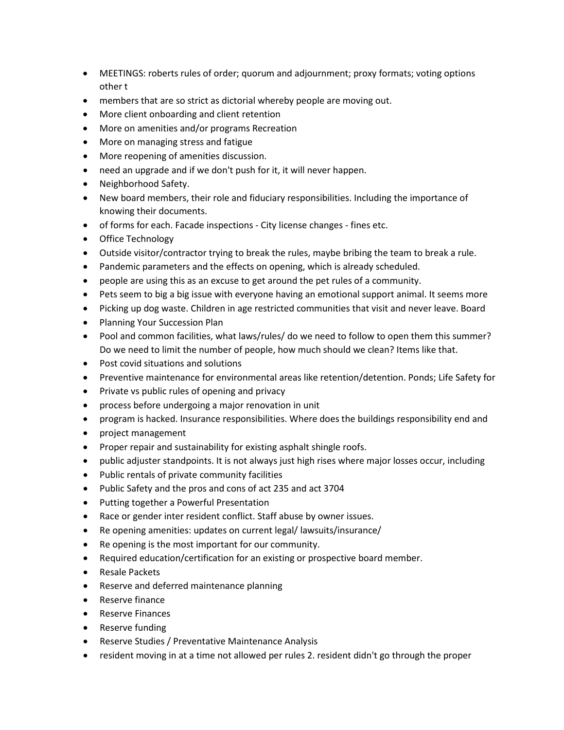- MEETINGS: roberts rules of order; quorum and adjournment; proxy formats; voting options other t
- members that are so strict as dictorial whereby people are moving out.
- More client onboarding and client retention
- More on amenities and/or programs Recreation
- More on managing stress and fatigue
- More reopening of amenities discussion.
- need an upgrade and if we don't push for it, it will never happen.
- Neighborhood Safety.
- New board members, their role and fiduciary responsibilities. Including the importance of knowing their documents.
- of forms for each. Facade inspections City license changes fines etc.
- Office Technology
- Outside visitor/contractor trying to break the rules, maybe bribing the team to break a rule.
- Pandemic parameters and the effects on opening, which is already scheduled.
- people are using this as an excuse to get around the pet rules of a community.
- Pets seem to big a big issue with everyone having an emotional support animal. It seems more
- Picking up dog waste. Children in age restricted communities that visit and never leave. Board
- Planning Your Succession Plan
- Pool and common facilities, what laws/rules/ do we need to follow to open them this summer? Do we need to limit the number of people, how much should we clean? Items like that.
- Post covid situations and solutions
- Preventive maintenance for environmental areas like retention/detention. Ponds; Life Safety for
- Private vs public rules of opening and privacy
- process before undergoing a major renovation in unit
- program is hacked. Insurance responsibilities. Where does the buildings responsibility end and
- project management
- Proper repair and sustainability for existing asphalt shingle roofs.
- public adjuster standpoints. It is not always just high rises where major losses occur, including
- Public rentals of private community facilities
- Public Safety and the pros and cons of act 235 and act 3704
- Putting together a Powerful Presentation
- Race or gender inter resident conflict. Staff abuse by owner issues.
- Re opening amenities: updates on current legal/ lawsuits/insurance/
- Re opening is the most important for our community.
- Required education/certification for an existing or prospective board member.
- Resale Packets
- Reserve and deferred maintenance planning
- Reserve finance
- Reserve Finances
- Reserve funding
- Reserve Studies / Preventative Maintenance Analysis
- resident moving in at a time not allowed per rules 2. resident didn't go through the proper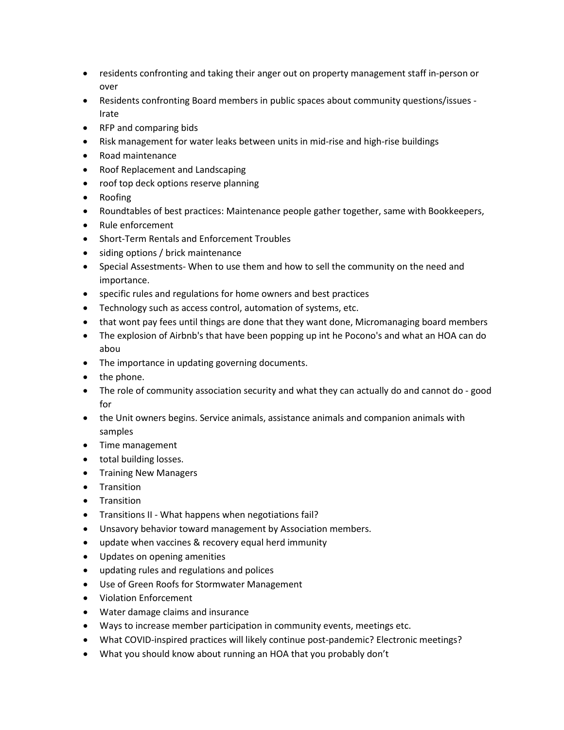- residents confronting and taking their anger out on property management staff in‐person or over
- Residents confronting Board members in public spaces about community questions/issues ‐ Irate
- RFP and comparing bids
- Risk management for water leaks between units in mid-rise and high-rise buildings
- Road maintenance
- Roof Replacement and Landscaping
- roof top deck options reserve planning
- Roofing
- Roundtables of best practices: Maintenance people gather together, same with Bookkeepers,
- Rule enforcement
- Short‐Term Rentals and Enforcement Troubles
- siding options / brick maintenance
- Special Assestments- When to use them and how to sell the community on the need and importance.
- specific rules and regulations for home owners and best practices
- Technology such as access control, automation of systems, etc.
- that wont pay fees until things are done that they want done, Micromanaging board members
- The explosion of Airbnb's that have been popping up int he Pocono's and what an HOA can do abou
- The importance in updating governing documents.
- the phone.
- The role of community association security and what they can actually do and cannot do good for
- the Unit owners begins. Service animals, assistance animals and companion animals with samples
- Time management
- total building losses.
- Training New Managers
- Transition
- Transition
- Transitions II What happens when negotiations fail?
- Unsavory behavior toward management by Association members.
- update when vaccines & recovery equal herd immunity
- Updates on opening amenities
- updating rules and regulations and polices
- Use of Green Roofs for Stormwater Management
- Violation Enforcement
- Water damage claims and insurance
- Ways to increase member participation in community events, meetings etc.
- What COVID-inspired practices will likely continue post-pandemic? Electronic meetings?
- What you should know about running an HOA that you probably don't